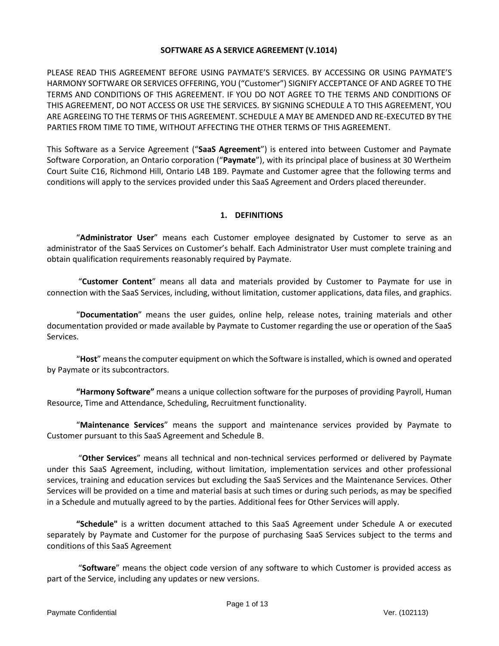## **SOFTWARE AS A SERVICE AGREEMENT (V.1014)**

PLEASE READ THIS AGREEMENT BEFORE USING PAYMATE'S SERVICES. BY ACCESSING OR USING PAYMATE'S HARMONY SOFTWARE OR SERVICES OFFERING, YOU ("Customer") SIGNIFY ACCEPTANCE OF AND AGREE TO THE TERMS AND CONDITIONS OF THIS AGREEMENT. IF YOU DO NOT AGREE TO THE TERMS AND CONDITIONS OF THIS AGREEMENT, DO NOT ACCESS OR USE THE SERVICES. BY SIGNING SCHEDULE A TO THIS AGREEMENT, YOU ARE AGREEING TO THE TERMS OF THIS AGREEMENT. SCHEDULE A MAY BE AMENDED AND RE-EXECUTED BY THE PARTIES FROM TIME TO TIME, WITHOUT AFFECTING THE OTHER TERMS OF THIS AGREEMENT.

This Software as a Service Agreement ("**SaaS Agreement**") is entered into between Customer and Paymate Software Corporation, an Ontario corporation ("**Paymate**"), with its principal place of business at 30 Wertheim Court Suite C16, Richmond Hill, Ontario L4B 1B9. Paymate and Customer agree that the following terms and conditions will apply to the services provided under this SaaS Agreement and Orders placed thereunder.

# **1. DEFINITIONS**

"**Administrator User**" means each Customer employee designated by Customer to serve as an administrator of the SaaS Services on Customer's behalf. Each Administrator User must complete training and obtain qualification requirements reasonably required by Paymate.

"**Customer Content**" means all data and materials provided by Customer to Paymate for use in connection with the SaaS Services, including, without limitation, customer applications, data files, and graphics.

"**Documentation**" means the user guides, online help, release notes, training materials and other documentation provided or made available by Paymate to Customer regarding the use or operation of the SaaS Services.

"**Host**" means the computer equipment on which the Software is installed, which is owned and operated by Paymate or its subcontractors.

**"Harmony Software"** means a unique collection software for the purposes of providing Payroll, Human Resource, Time and Attendance, Scheduling, Recruitment functionality.

"**Maintenance Services**" means the support and maintenance services provided by Paymate to Customer pursuant to this SaaS Agreement and Schedule B.

"**Other Services**" means all technical and non-technical services performed or delivered by Paymate under this SaaS Agreement, including, without limitation, implementation services and other professional services, training and education services but excluding the SaaS Services and the Maintenance Services. Other Services will be provided on a time and material basis at such times or during such periods, as may be specified in a Schedule and mutually agreed to by the parties. Additional fees for Other Services will apply.

**"Schedule"** is a written document attached to this SaaS Agreement under Schedule A or executed separately by Paymate and Customer for the purpose of purchasing SaaS Services subject to the terms and conditions of this SaaS Agreement

"**Software**" means the object code version of any software to which Customer is provided access as part of the Service, including any updates or new versions.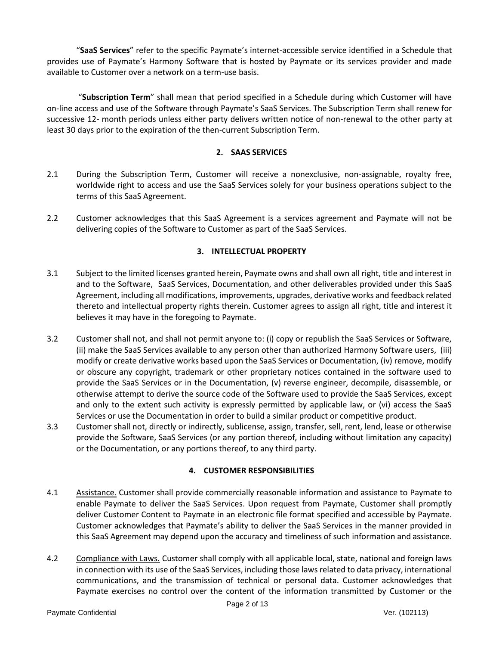"**SaaS Services**" refer to the specific Paymate's internet-accessible service identified in a Schedule that provides use of Paymate's Harmony Software that is hosted by Paymate or its services provider and made available to Customer over a network on a term-use basis.

"**Subscription Term**" shall mean that period specified in a Schedule during which Customer will have on-line access and use of the Software through Paymate's SaaS Services. The Subscription Term shall renew for successive 12- month periods unless either party delivers written notice of non-renewal to the other party at least 30 days prior to the expiration of the then-current Subscription Term.

## **2. SAAS SERVICES**

- 2.1 During the Subscription Term, Customer will receive a nonexclusive, non-assignable, royalty free, worldwide right to access and use the SaaS Services solely for your business operations subject to the terms of this SaaS Agreement.
- 2.2 Customer acknowledges that this SaaS Agreement is a services agreement and Paymate will not be delivering copies of the Software to Customer as part of the SaaS Services.

# **3. INTELLECTUAL PROPERTY**

- 3.1 Subject to the limited licenses granted herein, Paymate owns and shall own all right, title and interest in and to the Software, SaaS Services, Documentation, and other deliverables provided under this SaaS Agreement, including all modifications, improvements, upgrades, derivative works and feedback related thereto and intellectual property rights therein. Customer agrees to assign all right, title and interest it believes it may have in the foregoing to Paymate.
- 3.2 Customer shall not, and shall not permit anyone to: (i) copy or republish the SaaS Services or Software, (ii) make the SaaS Services available to any person other than authorized Harmony Software users, (iii) modify or create derivative works based upon the SaaS Services or Documentation, (iv) remove, modify or obscure any copyright, trademark or other proprietary notices contained in the software used to provide the SaaS Services or in the Documentation, (v) reverse engineer, decompile, disassemble, or otherwise attempt to derive the source code of the Software used to provide the SaaS Services, except and only to the extent such activity is expressly permitted by applicable law, or (vi) access the SaaS Services or use the Documentation in order to build a similar product or competitive product.
- 3.3 Customer shall not, directly or indirectly, sublicense, assign, transfer, sell, rent, lend, lease or otherwise provide the Software, SaaS Services (or any portion thereof, including without limitation any capacity) or the Documentation, or any portions thereof, to any third party.

# **4. CUSTOMER RESPONSIBILITIES**

- 4.1 Assistance. Customer shall provide commercially reasonable information and assistance to Paymate to enable Paymate to deliver the SaaS Services. Upon request from Paymate, Customer shall promptly deliver Customer Content to Paymate in an electronic file format specified and accessible by Paymate. Customer acknowledges that Paymate's ability to deliver the SaaS Services in the manner provided in this SaaS Agreement may depend upon the accuracy and timeliness of such information and assistance.
- 4.2 Compliance with Laws. Customer shall comply with all applicable local, state, national and foreign laws in connection with its use of the SaaS Services, including those laws related to data privacy, international communications, and the transmission of technical or personal data. Customer acknowledges that Paymate exercises no control over the content of the information transmitted by Customer or the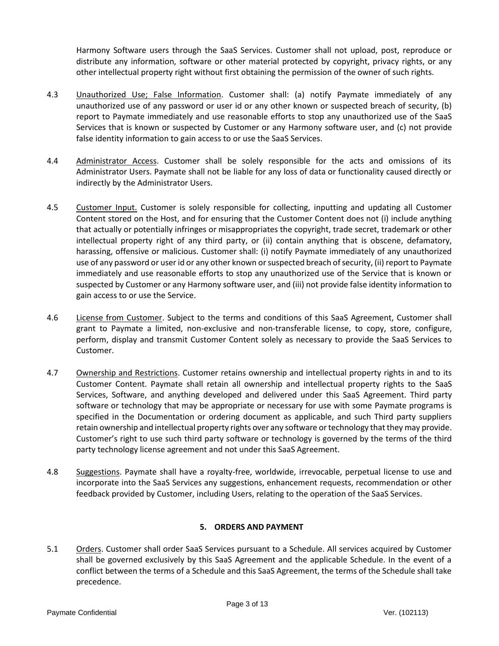Harmony Software users through the SaaS Services. Customer shall not upload, post, reproduce or distribute any information, software or other material protected by copyright, privacy rights, or any other intellectual property right without first obtaining the permission of the owner of such rights.

- 4.3 Unauthorized Use; False Information. Customer shall: (a) notify Paymate immediately of any unauthorized use of any password or user id or any other known or suspected breach of security, (b) report to Paymate immediately and use reasonable efforts to stop any unauthorized use of the SaaS Services that is known or suspected by Customer or any Harmony software user, and (c) not provide false identity information to gain access to or use the SaaS Services.
- 4.4 Administrator Access. Customer shall be solely responsible for the acts and omissions of its Administrator Users. Paymate shall not be liable for any loss of data or functionality caused directly or indirectly by the Administrator Users.
- 4.5 Customer Input. Customer is solely responsible for collecting, inputting and updating all Customer Content stored on the Host, and for ensuring that the Customer Content does not (i) include anything that actually or potentially infringes or misappropriates the copyright, trade secret, trademark or other intellectual property right of any third party, or (ii) contain anything that is obscene, defamatory, harassing, offensive or malicious. Customer shall: (i) notify Paymate immediately of any unauthorized use of any password or user id or any other known or suspected breach of security, (ii) report to Paymate immediately and use reasonable efforts to stop any unauthorized use of the Service that is known or suspected by Customer or any Harmony software user, and (iii) not provide false identity information to gain access to or use the Service.
- 4.6 License from Customer. Subject to the terms and conditions of this SaaS Agreement, Customer shall grant to Paymate a limited, non-exclusive and non-transferable license, to copy, store, configure, perform, display and transmit Customer Content solely as necessary to provide the SaaS Services to Customer.
- 4.7 Ownership and Restrictions. Customer retains ownership and intellectual property rights in and to its Customer Content. Paymate shall retain all ownership and intellectual property rights to the SaaS Services, Software, and anything developed and delivered under this SaaS Agreement. Third party software or technology that may be appropriate or necessary for use with some Paymate programs is specified in the Documentation or ordering document as applicable, and such Third party suppliers retain ownership and intellectual property rights over any software or technology that they may provide. Customer's right to use such third party software or technology is governed by the terms of the third party technology license agreement and not under this SaaS Agreement.
- 4.8 Suggestions. Paymate shall have a royalty-free, worldwide, irrevocable, perpetual license to use and incorporate into the SaaS Services any suggestions, enhancement requests, recommendation or other feedback provided by Customer, including Users, relating to the operation of the SaaS Services.

# **5. ORDERS AND PAYMENT**

5.1 Orders. Customer shall order SaaS Services pursuant to a Schedule. All services acquired by Customer shall be governed exclusively by this SaaS Agreement and the applicable Schedule. In the event of a conflict between the terms of a Schedule and this SaaS Agreement, the terms of the Schedule shall take precedence.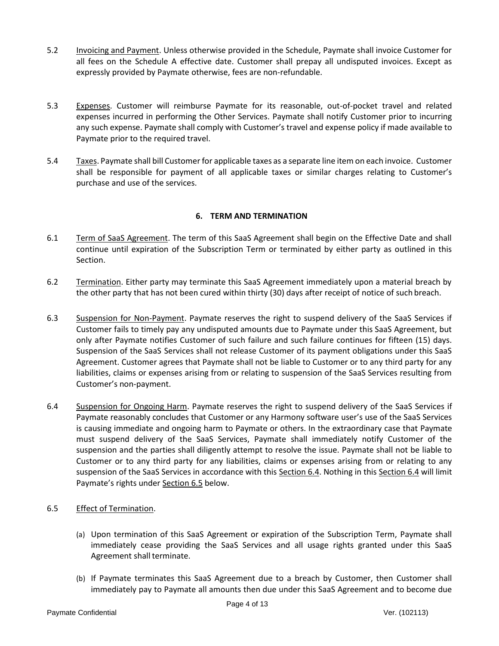- 5.2 Invoicing and Payment. Unless otherwise provided in the Schedule, Paymate shall invoice Customer for all fees on the Schedule A effective date. Customer shall prepay all undisputed invoices. Except as expressly provided by Paymate otherwise, fees are non-refundable.
- 5.3 Expenses. Customer will reimburse Paymate for its reasonable, out-of-pocket travel and related expenses incurred in performing the Other Services. Paymate shall notify Customer prior to incurring any such expense. Paymate shall comply with Customer's travel and expense policy if made available to Paymate prior to the required travel.
- 5.4 Taxes. Paymate shall bill Customer for applicable taxes as a separate line item on each invoice. Customer shall be responsible for payment of all applicable taxes or similar charges relating to Customer's purchase and use of the services.

# **6. TERM AND TERMINATION**

- 6.1 Term of SaaS Agreement. The term of this SaaS Agreement shall begin on the Effective Date and shall continue until expiration of the Subscription Term or terminated by either party as outlined in this Section.
- 6.2 Termination. Either party may terminate this SaaS Agreement immediately upon a material breach by the other party that has not been cured within thirty (30) days after receipt of notice of such breach.
- 6.3 Suspension for Non-Payment. Paymate reserves the right to suspend delivery of the SaaS Services if Customer fails to timely pay any undisputed amounts due to Paymate under this SaaS Agreement, but only after Paymate notifies Customer of such failure and such failure continues for fifteen (15) days. Suspension of the SaaS Services shall not release Customer of its payment obligations under this SaaS Agreement. Customer agrees that Paymate shall not be liable to Customer or to any third party for any liabilities, claims or expenses arising from or relating to suspension of the SaaS Services resulting from Customer's non-payment.
- 6.4 Suspension for Ongoing Harm. Paymate reserves the right to suspend delivery of the SaaS Services if Paymate reasonably concludes that Customer or any Harmony software user's use of the SaaS Services is causing immediate and ongoing harm to Paymate or others. In the extraordinary case that Paymate must suspend delivery of the SaaS Services, Paymate shall immediately notify Customer of the suspension and the parties shall diligently attempt to resolve the issue. Paymate shall not be liable to Customer or to any third party for any liabilities, claims or expenses arising from or relating to any suspension of the SaaS Services in accordance with this Section 6.4. Nothing in this Section 6.4 will limit Paymate's rights under Section 6.5 below.
- 6.5 Effect of Termination.
	- (a) Upon termination of this SaaS Agreement or expiration of the Subscription Term, Paymate shall immediately cease providing the SaaS Services and all usage rights granted under this SaaS Agreement shall terminate.
	- (b) If Paymate terminates this SaaS Agreement due to a breach by Customer, then Customer shall immediately pay to Paymate all amounts then due under this SaaS Agreement and to become due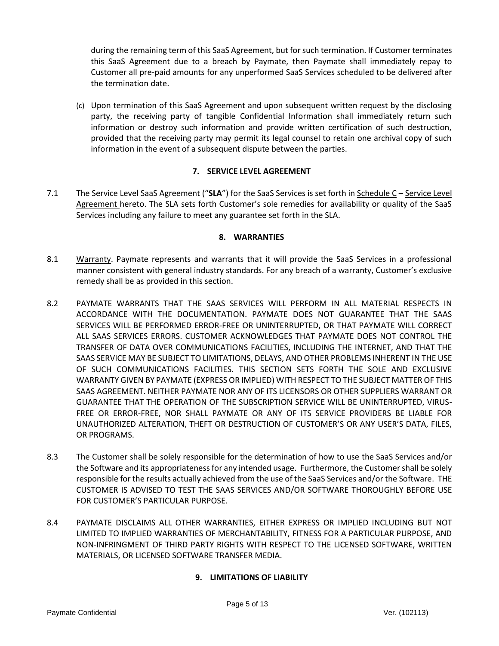during the remaining term of this SaaS Agreement, but for such termination. If Customer terminates this SaaS Agreement due to a breach by Paymate, then Paymate shall immediately repay to Customer all pre-paid amounts for any unperformed SaaS Services scheduled to be delivered after the termination date.

(c) Upon termination of this SaaS Agreement and upon subsequent written request by the disclosing party, the receiving party of tangible Confidential Information shall immediately return such information or destroy such information and provide written certification of such destruction, provided that the receiving party may permit its legal counsel to retain one archival copy of such information in the event of a subsequent dispute between the parties.

## **7. SERVICE LEVEL AGREEMENT**

7.1 The Service Level SaaS Agreement ("**SLA**") for the SaaS Services is set forth in Schedule C – Service Level Agreement hereto. The SLA sets forth Customer's sole remedies for availability or quality of the SaaS Services including any failure to meet any guarantee set forth in the SLA.

# **8. WARRANTIES**

- 8.1 Warranty. Paymate represents and warrants that it will provide the SaaS Services in a professional manner consistent with general industry standards. For any breach of a warranty, Customer's exclusive remedy shall be as provided in this section.
- 8.2 PAYMATE WARRANTS THAT THE SAAS SERVICES WILL PERFORM IN ALL MATERIAL RESPECTS IN ACCORDANCE WITH THE DOCUMENTATION. PAYMATE DOES NOT GUARANTEE THAT THE SAAS SERVICES WILL BE PERFORMED ERROR-FREE OR UNINTERRUPTED, OR THAT PAYMATE WILL CORRECT ALL SAAS SERVICES ERRORS. CUSTOMER ACKNOWLEDGES THAT PAYMATE DOES NOT CONTROL THE TRANSFER OF DATA OVER COMMUNICATIONS FACILITIES, INCLUDING THE INTERNET, AND THAT THE SAAS SERVICE MAY BE SUBJECT TO LIMITATIONS, DELAYS, AND OTHER PROBLEMS INHERENT IN THE USE OF SUCH COMMUNICATIONS FACILITIES. THIS SECTION SETS FORTH THE SOLE AND EXCLUSIVE WARRANTY GIVEN BY PAYMATE (EXPRESS OR IMPLIED) WITH RESPECT TO THE SUBJECT MATTER OF THIS SAAS AGREEMENT. NEITHER PAYMATE NOR ANY OF ITS LICENSORS OR OTHER SUPPLIERS WARRANT OR GUARANTEE THAT THE OPERATION OF THE SUBSCRIPTION SERVICE WILL BE UNINTERRUPTED, VIRUS-FREE OR ERROR-FREE, NOR SHALL PAYMATE OR ANY OF ITS SERVICE PROVIDERS BE LIABLE FOR UNAUTHORIZED ALTERATION, THEFT OR DESTRUCTION OF CUSTOMER'S OR ANY USER'S DATA, FILES, OR PROGRAMS.
- 8.3 The Customer shall be solely responsible for the determination of how to use the SaaS Services and/or the Software and its appropriateness for any intended usage. Furthermore, the Customer shall be solely responsible for the results actually achieved from the use of the SaaS Services and/or the Software. THE CUSTOMER IS ADVISED TO TEST THE SAAS SERVICES AND/OR SOFTWARE THOROUGHLY BEFORE USE FOR CUSTOMER'S PARTICULAR PURPOSE.
- 8.4 PAYMATE DISCLAIMS ALL OTHER WARRANTIES, EITHER EXPRESS OR IMPLIED INCLUDING BUT NOT LIMITED TO IMPLIED WARRANTIES OF MERCHANTABILITY, FITNESS FOR A PARTICULAR PURPOSE, AND NON-INFRINGMENT OF THIRD PARTY RIGHTS WITH RESPECT TO THE LICENSED SOFTWARE, WRITTEN MATERIALS, OR LICENSED SOFTWARE TRANSFER MEDIA.

# **9. LIMITATIONS OF LIABILITY**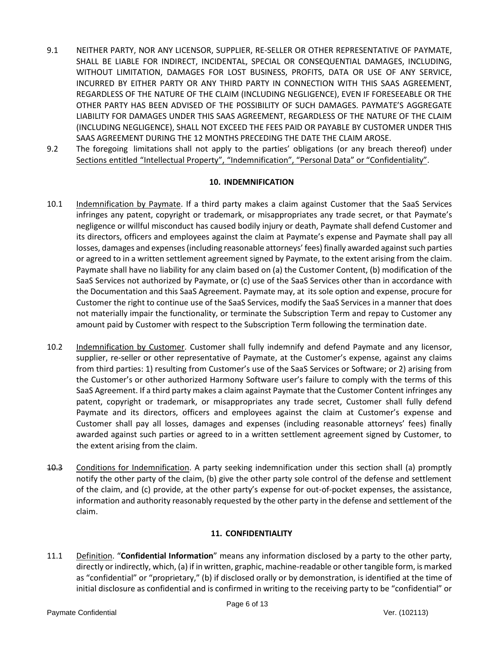- 9.1 NEITHER PARTY, NOR ANY LICENSOR, SUPPLIER, RE-SELLER OR OTHER REPRESENTATIVE OF PAYMATE, SHALL BE LIABLE FOR INDIRECT, INCIDENTAL, SPECIAL OR CONSEQUENTIAL DAMAGES, INCLUDING, WITHOUT LIMITATION, DAMAGES FOR LOST BUSINESS, PROFITS, DATA OR USE OF ANY SERVICE, INCURRED BY EITHER PARTY OR ANY THIRD PARTY IN CONNECTION WITH THIS SAAS AGREEMENT, REGARDLESS OF THE NATURE OF THE CLAIM (INCLUDING NEGLIGENCE), EVEN IF FORESEEABLE OR THE OTHER PARTY HAS BEEN ADVISED OF THE POSSIBILITY OF SUCH DAMAGES. PAYMATE'S AGGREGATE LIABILITY FOR DAMAGES UNDER THIS SAAS AGREEMENT, REGARDLESS OF THE NATURE OF THE CLAIM (INCLUDING NEGLIGENCE), SHALL NOT EXCEED THE FEES PAID OR PAYABLE BY CUSTOMER UNDER THIS SAAS AGREEMENT DURING THE 12 MONTHS PRECEDING THE DATE THE CLAIM AROSE.
- 9.2 The foregoing limitations shall not apply to the parties' obligations (or any breach thereof) under Sections entitled "Intellectual Property", "Indemnification", "Personal Data" or "Confidentiality".

## **10. INDEMNIFICATION**

- 10.1 Indemnification by Paymate. If a third party makes a claim against Customer that the SaaS Services infringes any patent, copyright or trademark, or misappropriates any trade secret, or that Paymate's negligence or willful misconduct has caused bodily injury or death, Paymate shall defend Customer and its directors, officers and employees against the claim at Paymate's expense and Paymate shall pay all losses, damages and expenses (including reasonable attorneys' fees) finally awarded against such parties or agreed to in a written settlement agreement signed by Paymate, to the extent arising from the claim. Paymate shall have no liability for any claim based on (a) the Customer Content, (b) modification of the SaaS Services not authorized by Paymate, or (c) use of the SaaS Services other than in accordance with the Documentation and this SaaS Agreement. Paymate may, at its sole option and expense, procure for Customer the right to continue use of the SaaS Services, modify the SaaS Services in a manner that does not materially impair the functionality, or terminate the Subscription Term and repay to Customer any amount paid by Customer with respect to the Subscription Term following the termination date.
- 10.2 Indemnification by Customer. Customer shall fully indemnify and defend Paymate and any licensor, supplier, re-seller or other representative of Paymate, at the Customer's expense, against any claims from third parties: 1) resulting from Customer's use of the SaaS Services or Software; or 2) arising from the Customer's or other authorized Harmony Software user's failure to comply with the terms of this SaaS Agreement. If a third party makes a claim against Paymate that the Customer Content infringes any patent, copyright or trademark, or misappropriates any trade secret, Customer shall fully defend Paymate and its directors, officers and employees against the claim at Customer's expense and Customer shall pay all losses, damages and expenses (including reasonable attorneys' fees) finally awarded against such parties or agreed to in a written settlement agreement signed by Customer, to the extent arising from the claim.
- 10.3 Conditions for Indemnification. A party seeking indemnification under this section shall (a) promptly notify the other party of the claim, (b) give the other party sole control of the defense and settlement of the claim, and (c) provide, at the other party's expense for out-of-pocket expenses, the assistance, information and authority reasonably requested by the other party in the defense and settlement of the claim.

## **11. CONFIDENTIALITY**

11.1 Definition. "**Confidential Information**" means any information disclosed by a party to the other party, directly or indirectly, which, (a) if in written, graphic, machine-readable or other tangible form, is marked as "confidential" or "proprietary," (b) if disclosed orally or by demonstration, is identified at the time of initial disclosure as confidential and is confirmed in writing to the receiving party to be "confidential" or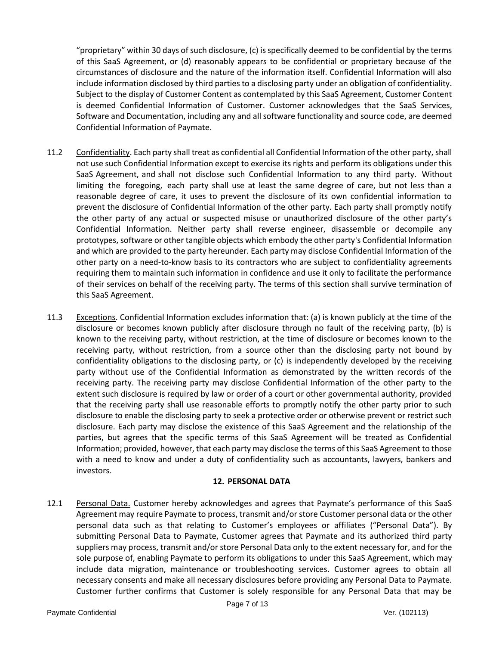"proprietary" within 30 days of such disclosure, (c) is specifically deemed to be confidential by the terms of this SaaS Agreement, or (d) reasonably appears to be confidential or proprietary because of the circumstances of disclosure and the nature of the information itself. Confidential Information will also include information disclosed by third parties to a disclosing party under an obligation of confidentiality. Subject to the display of Customer Content as contemplated by this SaaS Agreement, Customer Content is deemed Confidential Information of Customer. Customer acknowledges that the SaaS Services, Software and Documentation, including any and all software functionality and source code, are deemed Confidential Information of Paymate.

- 11.2 Confidentiality. Each party shall treat as confidential all Confidential Information of the other party, shall not use such Confidential Information except to exercise its rights and perform its obligations under this SaaS Agreement, and shall not disclose such Confidential Information to any third party. Without limiting the foregoing, each party shall use at least the same degree of care, but not less than a reasonable degree of care, it uses to prevent the disclosure of its own confidential information to prevent the disclosure of Confidential Information of the other party. Each party shall promptly notify the other party of any actual or suspected misuse or unauthorized disclosure of the other party's Confidential Information. Neither party shall reverse engineer, disassemble or decompile any prototypes, software or other tangible objects which embody the other party's Confidential Information and which are provided to the party hereunder. Each party may disclose Confidential Information of the other party on a need-to-know basis to its contractors who are subject to confidentiality agreements requiring them to maintain such information in confidence and use it only to facilitate the performance of their services on behalf of the receiving party. The terms of this section shall survive termination of this SaaS Agreement.
- 11.3 Exceptions. Confidential Information excludes information that: (a) is known publicly at the time of the disclosure or becomes known publicly after disclosure through no fault of the receiving party, (b) is known to the receiving party, without restriction, at the time of disclosure or becomes known to the receiving party, without restriction, from a source other than the disclosing party not bound by confidentiality obligations to the disclosing party, or (c) is independently developed by the receiving party without use of the Confidential Information as demonstrated by the written records of the receiving party. The receiving party may disclose Confidential Information of the other party to the extent such disclosure is required by law or order of a court or other governmental authority, provided that the receiving party shall use reasonable efforts to promptly notify the other party prior to such disclosure to enable the disclosing party to seek a protective order or otherwise prevent or restrict such disclosure. Each party may disclose the existence of this SaaS Agreement and the relationship of the parties, but agrees that the specific terms of this SaaS Agreement will be treated as Confidential Information; provided, however, that each party may disclose the terms of this SaaS Agreement to those with a need to know and under a duty of confidentiality such as accountants, lawyers, bankers and investors.

## **12. PERSONAL DATA**

12.1 Personal Data. Customer hereby acknowledges and agrees that Paymate's performance of this SaaS Agreement may require Paymate to process, transmit and/or store Customer personal data or the other personal data such as that relating to Customer's employees or affiliates ("Personal Data"). By submitting Personal Data to Paymate, Customer agrees that Paymate and its authorized third party suppliers may process, transmit and/or store Personal Data only to the extent necessary for, and for the sole purpose of, enabling Paymate to perform its obligations to under this SaaS Agreement, which may include data migration, maintenance or troubleshooting services. Customer agrees to obtain all necessary consents and make all necessary disclosures before providing any Personal Data to Paymate. Customer further confirms that Customer is solely responsible for any Personal Data that may be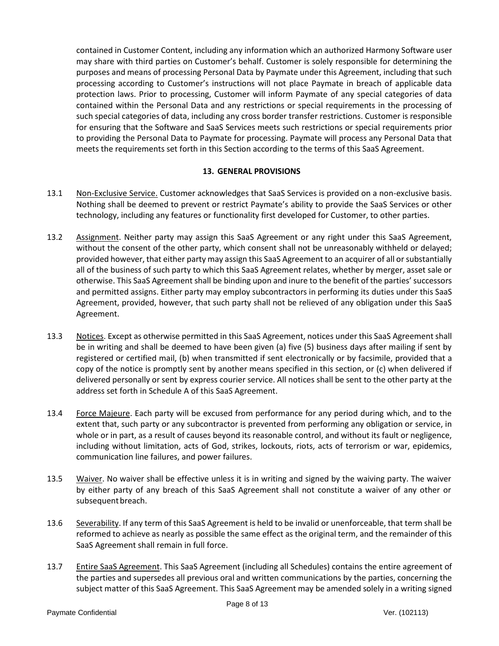contained in Customer Content, including any information which an authorized Harmony Software user may share with third parties on Customer's behalf. Customer is solely responsible for determining the purposes and means of processing Personal Data by Paymate under this Agreement, including that such processing according to Customer's instructions will not place Paymate in breach of applicable data protection laws. Prior to processing, Customer will inform Paymate of any special categories of data contained within the Personal Data and any restrictions or special requirements in the processing of such special categories of data, including any cross border transfer restrictions. Customer is responsible for ensuring that the Software and SaaS Services meets such restrictions or special requirements prior to providing the Personal Data to Paymate for processing. Paymate will process any Personal Data that meets the requirements set forth in this Section according to the terms of this SaaS Agreement.

## **13. GENERAL PROVISIONS**

- 13.1 Non-Exclusive Service. Customer acknowledges that SaaS Services is provided on a non-exclusive basis. Nothing shall be deemed to prevent or restrict Paymate's ability to provide the SaaS Services or other technology, including any features or functionality first developed for Customer, to other parties.
- 13.2 Assignment. Neither party may assign this SaaS Agreement or any right under this SaaS Agreement, without the consent of the other party, which consent shall not be unreasonably withheld or delayed; provided however, that either party may assign this SaaS Agreement to an acquirer of all or substantially all of the business of such party to which this SaaS Agreement relates, whether by merger, asset sale or otherwise. This SaaS Agreement shall be binding upon and inure to the benefit of the parties' successors and permitted assigns. Either party may employ subcontractors in performing its duties under this SaaS Agreement, provided, however, that such party shall not be relieved of any obligation under this SaaS Agreement.
- 13.3 Notices. Except as otherwise permitted in this SaaS Agreement, notices under this SaaS Agreement shall be in writing and shall be deemed to have been given (a) five (5) business days after mailing if sent by registered or certified mail, (b) when transmitted if sent electronically or by facsimile, provided that a copy of the notice is promptly sent by another means specified in this section, or (c) when delivered if delivered personally or sent by express courier service. All notices shall be sent to the other party at the address set forth in Schedule A of this SaaS Agreement.
- 13.4 Force Majeure. Each party will be excused from performance for any period during which, and to the extent that, such party or any subcontractor is prevented from performing any obligation or service, in whole or in part, as a result of causes beyond its reasonable control, and without its fault or negligence, including without limitation, acts of God, strikes, lockouts, riots, acts of terrorism or war, epidemics, communication line failures, and power failures.
- 13.5 Waiver. No waiver shall be effective unless it is in writing and signed by the waiving party. The waiver by either party of any breach of this SaaS Agreement shall not constitute a waiver of any other or subsequent breach.
- 13.6 Severability. If any term of this SaaS Agreement is held to be invalid or unenforceable, that term shall be reformed to achieve as nearly as possible the same effect as the original term, and the remainder of this SaaS Agreement shall remain in full force.
- 13.7 Entire SaaS Agreement. This SaaS Agreement (including all Schedules) contains the entire agreement of the parties and supersedes all previous oral and written communications by the parties, concerning the subject matter of this SaaS Agreement. This SaaS Agreement may be amended solely in a writing signed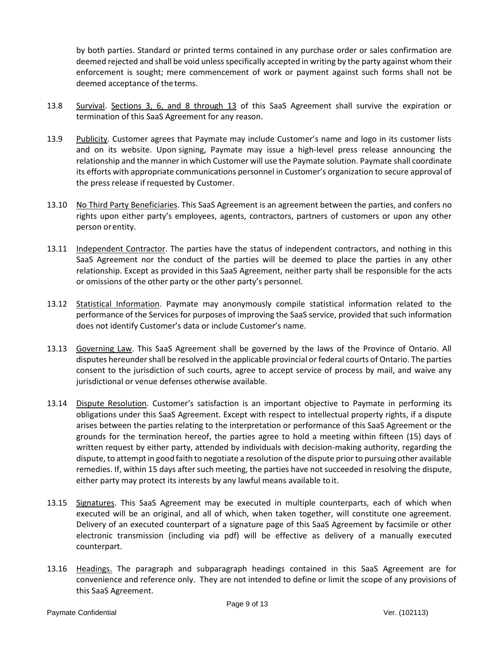by both parties. Standard or printed terms contained in any purchase order or sales confirmation are deemed rejected and shall be void unless specifically accepted in writing by the party against whom their enforcement is sought; mere commencement of work or payment against such forms shall not be deemed acceptance of the terms.

- 13.8 Survival. Sections 3, 6, and 8 through 13 of this SaaS Agreement shall survive the expiration or termination of this SaaS Agreement for any reason.
- 13.9 Publicity. Customer agrees that Paymate may include Customer's name and logo in its customer lists and on its website. Upon signing, Paymate may issue a high-level press release announcing the relationship and the manner in which Customer will use the Paymate solution. Paymate shall coordinate its efforts with appropriate communications personnel in Customer's organization to secure approval of the press release if requested by Customer.
- 13.10 No Third Party Beneficiaries. This SaaS Agreement is an agreement between the parties, and confers no rights upon either party's employees, agents, contractors, partners of customers or upon any other person orentity.
- 13.11 Independent Contractor. The parties have the status of independent contractors, and nothing in this SaaS Agreement nor the conduct of the parties will be deemed to place the parties in any other relationship. Except as provided in this SaaS Agreement, neither party shall be responsible for the acts or omissions of the other party or the other party's personnel.
- 13.12 Statistical Information. Paymate may anonymously compile statistical information related to the performance of the Services for purposes of improving the SaaS service, provided that such information does not identify Customer's data or include Customer's name.
- 13.13 Governing Law. This SaaS Agreement shall be governed by the laws of the Province of Ontario. All disputes hereunder shall be resolved in the applicable provincial or federal courts of Ontario. The parties consent to the jurisdiction of such courts, agree to accept service of process by mail, and waive any jurisdictional or venue defenses otherwise available.
- 13.14 Dispute Resolution. Customer's satisfaction is an important objective to Paymate in performing its obligations under this SaaS Agreement. Except with respect to intellectual property rights, if a dispute arises between the parties relating to the interpretation or performance of this SaaS Agreement or the grounds for the termination hereof, the parties agree to hold a meeting within fifteen (15) days of written request by either party, attended by individuals with decision-making authority, regarding the dispute, to attempt in good faith to negotiate a resolution of the dispute prior to pursuing other available remedies. If, within 15 days after such meeting, the parties have not succeeded in resolving the dispute, either party may protect its interests by any lawful means available toit.
- 13.15 Signatures. This SaaS Agreement may be executed in multiple counterparts, each of which when executed will be an original, and all of which, when taken together, will constitute one agreement. Delivery of an executed counterpart of a signature page of this SaaS Agreement by facsimile or other electronic transmission (including via pdf) will be effective as delivery of a manually executed counterpart.
- 13.16 Headings. The paragraph and subparagraph headings contained in this SaaS Agreement are for convenience and reference only. They are not intended to define or limit the scope of any provisions of this SaaS Agreement.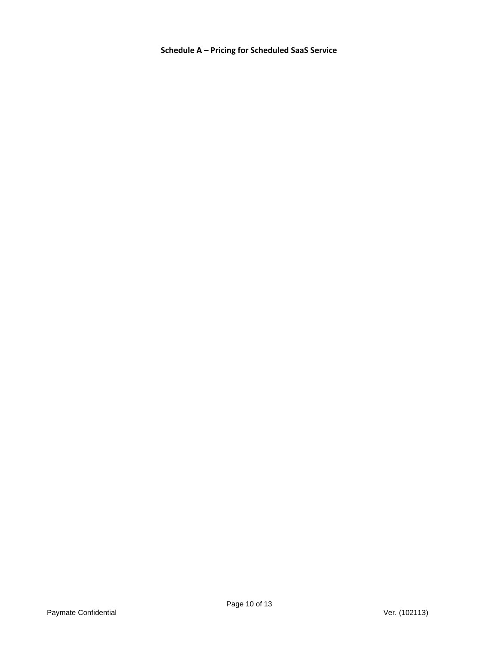**Schedule A – Pricing for Scheduled SaaS Service**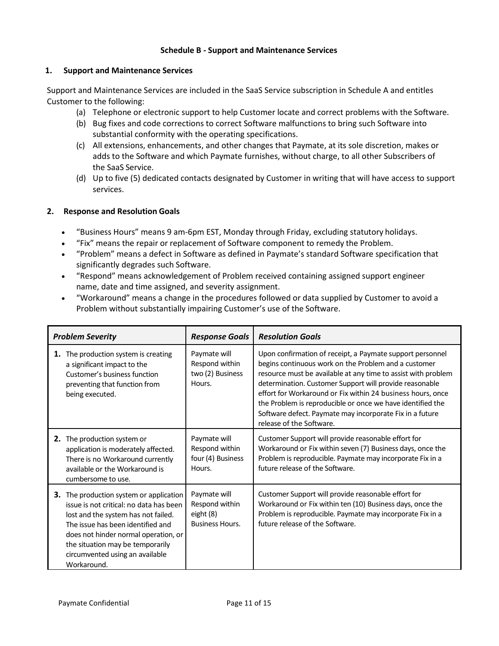#### **Schedule B - Support and Maintenance Services**

#### **1. Support and Maintenance Services**

Support and Maintenance Services are included in the SaaS Service subscription in Schedule A and entitles Customer to the following:

- (a) Telephone or electronic support to help Customer locate and correct problems with the Software.
- (b) Bug fixes and code corrections to correct Software malfunctions to bring such Software into substantial conformity with the operating specifications.
- (c) All extensions, enhancements, and other changes that Paymate, at its sole discretion, makes or adds to the Software and which Paymate furnishes, without charge, to all other Subscribers of the SaaS Service.
- (d) Up to five (5) dedicated contacts designated by Customer in writing that will have access to support services.

## **2. Response and Resolution Goals**

- "Business Hours" means 9 am-6pm EST, Monday through Friday, excluding statutory holidays.
- "Fix" means the repair or replacement of Software component to remedy the Problem.
- "Problem" means a defect in Software as defined in Paymate's standard Software specification that significantly degrades such Software.
- "Respond" means acknowledgement of Problem received containing assigned support engineer name, date and time assigned, and severity assignment.
- "Workaround" means a change in the procedures followed or data supplied by Customer to avoid a Problem without substantially impairing Customer's use of the Software.

| <b>Problem Severity</b>                                                                                                                                                                                                                                                                             | <b>Response Goals</b>                                                 | <b>Resolution Goals</b>                                                                                                                                                                                                                                                                                                                                                                                                                                            |
|-----------------------------------------------------------------------------------------------------------------------------------------------------------------------------------------------------------------------------------------------------------------------------------------------------|-----------------------------------------------------------------------|--------------------------------------------------------------------------------------------------------------------------------------------------------------------------------------------------------------------------------------------------------------------------------------------------------------------------------------------------------------------------------------------------------------------------------------------------------------------|
| The production system is creating<br>1.<br>a significant impact to the<br>Customer's business function<br>preventing that function from<br>being executed.                                                                                                                                          | Paymate will<br>Respond within<br>two (2) Business<br>Hours.          | Upon confirmation of receipt, a Paymate support personnel<br>begins continuous work on the Problem and a customer<br>resource must be available at any time to assist with problem<br>determination. Customer Support will provide reasonable<br>effort for Workaround or Fix within 24 business hours, once<br>the Problem is reproducible or once we have identified the<br>Software defect. Paymate may incorporate Fix in a future<br>release of the Software. |
| The production system or<br>2.<br>application is moderately affected.<br>There is no Workaround currently<br>available or the Workaround is<br>cumbersome to use.                                                                                                                                   | Paymate will<br>Respond within<br>four (4) Business<br>Hours.         | Customer Support will provide reasonable effort for<br>Workaround or Fix within seven (7) Business days, once the<br>Problem is reproducible. Paymate may incorporate Fix in a<br>future release of the Software.                                                                                                                                                                                                                                                  |
| <b>3.</b> The production system or application<br>issue is not critical: no data has been<br>lost and the system has not failed.<br>The issue has been identified and<br>does not hinder normal operation, or<br>the situation may be temporarily<br>circumvented using an available<br>Workaround. | Paymate will<br>Respond within<br>eight (8)<br><b>Business Hours.</b> | Customer Support will provide reasonable effort for<br>Workaround or Fix within ten (10) Business days, once the<br>Problem is reproducible. Paymate may incorporate Fix in a<br>future release of the Software.                                                                                                                                                                                                                                                   |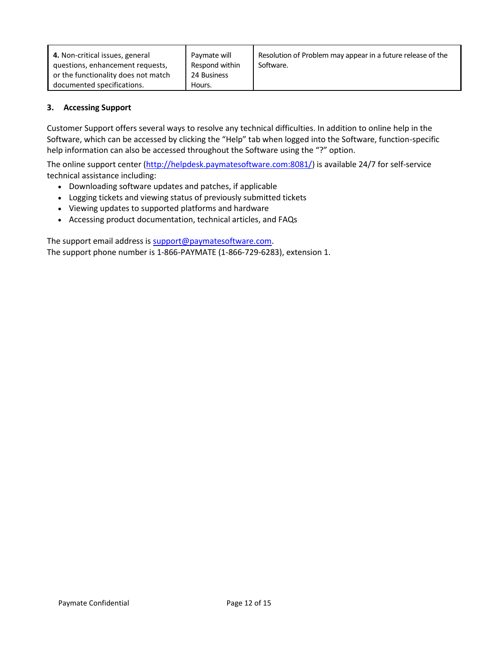| 4. Non-critical issues, general<br>questions, enhancement requests, | Paymate will<br>Respond within | Resolution of Problem may appear in a future release of the<br>Software. |
|---------------------------------------------------------------------|--------------------------------|--------------------------------------------------------------------------|
| or the functionality does not match                                 | 24 Business                    |                                                                          |
| documented specifications.                                          | Hours.                         |                                                                          |

# **3. Accessing Support**

Customer Support offers several ways to resolve any technical difficulties. In addition to online help in the Software, which can be accessed by clicking the "Help" tab when logged into the Software, function-specific help information can also be accessed throughout the Software using the "?" option.

The online support center [\(http://helpdesk.paymatesoftware.com:8081/\)](http://helpdesk.paymatesoftware.com:8081/) is available 24/7 for self-service technical assistance including:

- Downloading software updates and patches, if applicable
- Logging tickets and viewing status of previously submitted tickets
- Viewing updates to supported platforms and hardware
- Accessing product documentation, technical articles, and FAQs

The support email address is [support@paymatesoftware.com.](mailto:support@paymatesoftware.com) The support phone number is 1-866-PAYMATE (1-866-729-6283), extension 1.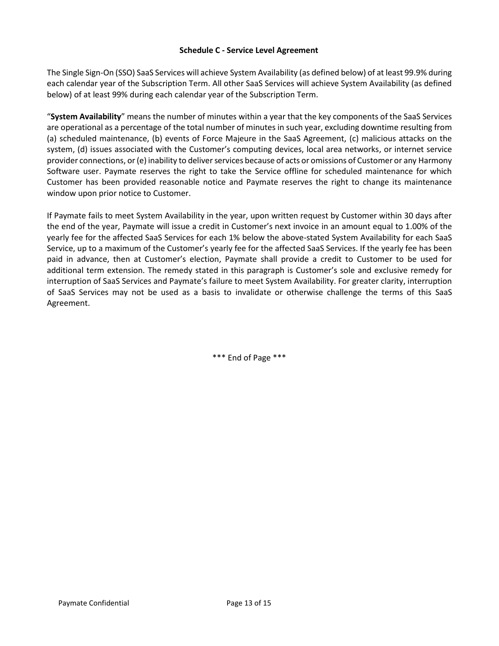#### **Schedule C - Service Level Agreement**

The Single Sign-On (SSO) SaaS Services will achieve System Availability (as defined below) of at least 99.9% during each calendar year of the Subscription Term. All other SaaS Services will achieve System Availability (as defined below) of at least 99% during each calendar year of the Subscription Term.

"**System Availability**" means the number of minutes within a year that the key components of the SaaS Services are operational as a percentage of the total number of minutes in such year, excluding downtime resulting from (a) scheduled maintenance, (b) events of Force Majeure in the SaaS Agreement, (c) malicious attacks on the system, (d) issues associated with the Customer's computing devices, local area networks, or internet service provider connections, or (e) inability to deliver services because of acts or omissions of Customer or any Harmony Software user. Paymate reserves the right to take the Service offline for scheduled maintenance for which Customer has been provided reasonable notice and Paymate reserves the right to change its maintenance window upon prior notice to Customer.

If Paymate fails to meet System Availability in the year, upon written request by Customer within 30 days after the end of the year, Paymate will issue a credit in Customer's next invoice in an amount equal to 1.00% of the yearly fee for the affected SaaS Services for each 1% below the above-stated System Availability for each SaaS Service, up to a maximum of the Customer's yearly fee for the affected SaaS Services. If the yearly fee has been paid in advance, then at Customer's election, Paymate shall provide a credit to Customer to be used for additional term extension. The remedy stated in this paragraph is Customer's sole and exclusive remedy for interruption of SaaS Services and Paymate's failure to meet System Availability. For greater clarity, interruption of SaaS Services may not be used as a basis to invalidate or otherwise challenge the terms of this SaaS Agreement.

\*\*\* End of Page \*\*\*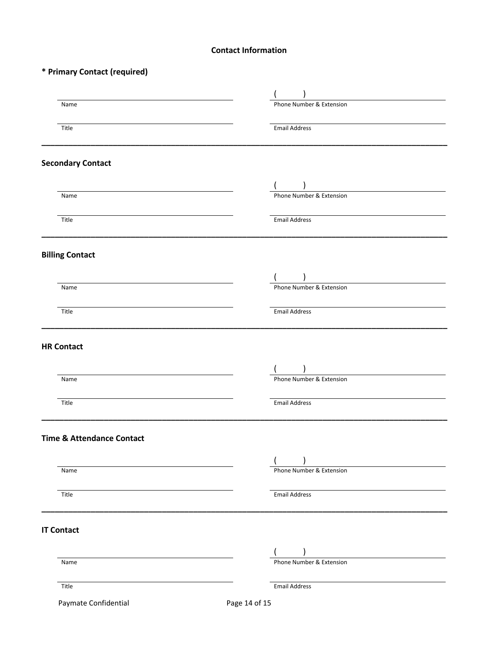## **Contact Information**

# **\* Primary Contact (required)**

| Name                                 | Phone Number & Extension |
|--------------------------------------|--------------------------|
| Title                                | <b>Email Address</b>     |
| <b>Secondary Contact</b>             |                          |
|                                      |                          |
| Name                                 | Phone Number & Extension |
| Title                                | <b>Email Address</b>     |
| <b>Billing Contact</b>               |                          |
|                                      |                          |
| Name                                 | Phone Number & Extension |
| Title                                | <b>Email Address</b>     |
| <b>HR Contact</b>                    |                          |
|                                      |                          |
| Name                                 | Phone Number & Extension |
| Title                                | <b>Email Address</b>     |
| <b>Time &amp; Attendance Contact</b> |                          |
|                                      |                          |
| Name                                 | Phone Number & Extension |
| Title                                | <b>Email Address</b>     |
| <b>IT Contact</b>                    |                          |
|                                      |                          |
| Name                                 | Phone Number & Extension |
| Title                                | <b>Email Address</b>     |
| Paymate Confidential                 | Page 14 of 15            |